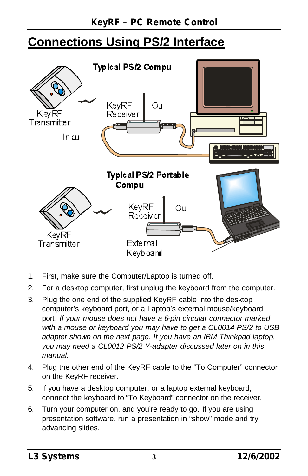## **Connections Using PS/2 Interface**



- 1. First, make sure the Computer/Laptop is turned off.
- 2. For a desktop computer, first unplug the keyboard from the computer.
- 3. Plug the one end of the supplied KeyRF cable into the desktop computer's keyboard port, or a Laptop's external mouse/keyboard port. *If your mouse does not have a 6-pin circular connector marked with a mouse or keyboard you may have to get a CL0014 PS/2 to USB adapter shown on the next page. If you have an IBM Thinkpad laptop, you may need a CL0012 PS/2 Y-adapter discussed later on in this manual.*
- 4. Plug the other end of the KeyRF cable to the "To Computer" connector on the KeyRF receiver.
- 5. If you have a desktop computer, or a laptop external keyboard, connect the keyboard to "To Keyboard" connector on the receiver.
- 6. Turn your computer on, and you're ready to go. If you are using presentation software, run a presentation in "show" mode and try advancing slides.